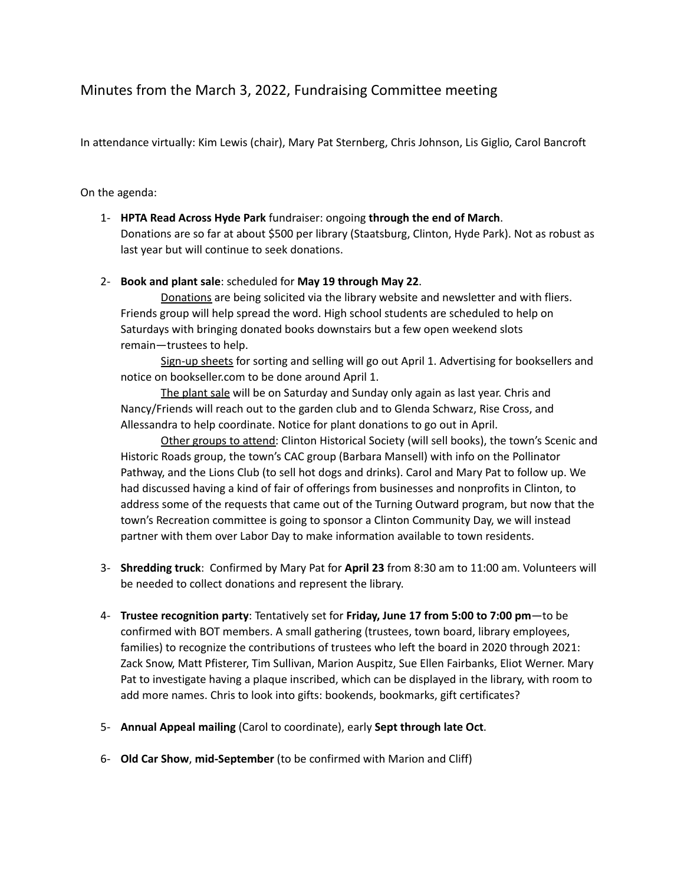## Minutes from the March 3, 2022, Fundraising Committee meeting

In attendance virtually: Kim Lewis (chair), Mary Pat Sternberg, Chris Johnson, Lis Giglio, Carol Bancroft

## On the agenda:

1- **HPTA Read Across Hyde Park** fundraiser: ongoing **through the end of March**. Donations are so far at about \$500 per library (Staatsburg, Clinton, Hyde Park). Not as robust as last year but will continue to seek donations.

## 2- **Book and plant sale**: scheduled for **May 19 through May 22**.

Donations are being solicited via the library website and newsletter and with fliers. Friends group will help spread the word. High school students are scheduled to help on Saturdays with bringing donated books downstairs but a few open weekend slots remain—trustees to help.

Sign-up sheets for sorting and selling will go out April 1. Advertising for booksellers and notice on bookseller.com to be done around April 1.

The plant sale will be on Saturday and Sunday only again as last year. Chris and Nancy/Friends will reach out to the garden club and to Glenda Schwarz, Rise Cross, and Allessandra to help coordinate. Notice for plant donations to go out in April.

Other groups to attend: Clinton Historical Society (will sell books), the town's Scenic and Historic Roads group, the town's CAC group (Barbara Mansell) with info on the Pollinator Pathway, and the Lions Club (to sell hot dogs and drinks). Carol and Mary Pat to follow up. We had discussed having a kind of fair of offerings from businesses and nonprofits in Clinton, to address some of the requests that came out of the Turning Outward program, but now that the town's Recreation committee is going to sponsor a Clinton Community Day, we will instead partner with them over Labor Day to make information available to town residents.

- 3- **Shredding truck**: Confirmed by Mary Pat for **April 23** from 8:30 am to 11:00 am. Volunteers will be needed to collect donations and represent the library.
- 4- **Trustee recognition party**: Tentatively set for **Friday, June 17 from 5:00 to 7:00 pm**—to be confirmed with BOT members. A small gathering (trustees, town board, library employees, families) to recognize the contributions of trustees who left the board in 2020 through 2021: Zack Snow, Matt Pfisterer, Tim Sullivan, Marion Auspitz, Sue Ellen Fairbanks, Eliot Werner. Mary Pat to investigate having a plaque inscribed, which can be displayed in the library, with room to add more names. Chris to look into gifts: bookends, bookmarks, gift certificates?
- 5- **Annual Appeal mailing** (Carol to coordinate), early **Sept through late Oct**.
- 6- **Old Car Show**, **mid-September** (to be confirmed with Marion and Cliff)